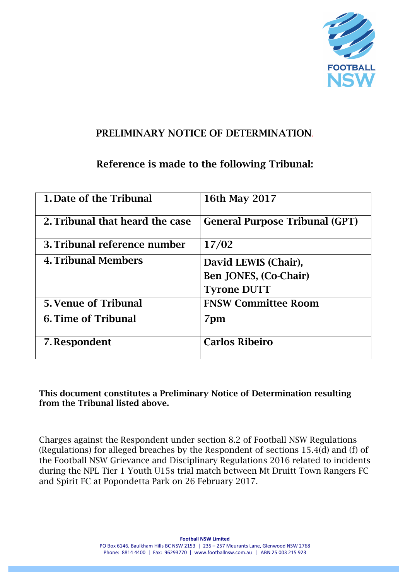

### PRELIMINARY NOTICE OF DETERMINATION.

# Reference is made to the following Tribunal:

| 1. Date of the Tribunal         | 16th May 2017                                                       |
|---------------------------------|---------------------------------------------------------------------|
| 2. Tribunal that heard the case | <b>General Purpose Tribunal (GPT)</b>                               |
| 3. Tribunal reference number    | 17/02                                                               |
| <b>4. Tribunal Members</b>      | David LEWIS (Chair),<br>Ben JONES, (Co-Chair)<br><b>Tyrone DUTT</b> |
| <b>5. Venue of Tribunal</b>     | <b>FNSW Committee Room</b>                                          |
| 6. Time of Tribunal             | 7pm                                                                 |
| 7. Respondent                   | <b>Carlos Ribeiro</b>                                               |

This document constitutes a Preliminary Notice of Determination resulting from the Tribunal listed above.

Charges against the Respondent under section 8.2 of Football NSW Regulations (Regulations) for alleged breaches by the Respondent of sections 15.4(d) and (f) of the Football NSW Grievance and Disciplinary Regulations 2016 related to incidents during the NPL Tier 1 Youth U15s trial match between Mt Druitt Town Rangers FC and Spirit FC at Popondetta Park on 26 February 2017.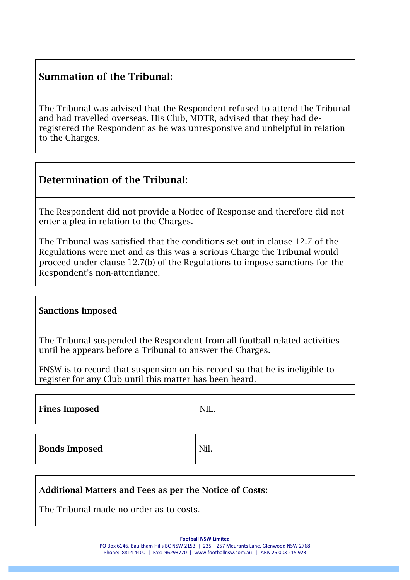## Summation of the Tribunal:

The Tribunal was advised that the Respondent refused to attend the Tribunal and had travelled overseas. His Club, MDTR, advised that they had deregistered the Respondent as he was unresponsive and unhelpful in relation to the Charges.

### Determination of the Tribunal:

The Respondent did not provide a Notice of Response and therefore did not enter a plea in relation to the Charges.

The Tribunal was satisfied that the conditions set out in clause 12.7 of the Regulations were met and as this was a serious Charge the Tribunal would proceed under clause 12.7(b) of the Regulations to impose sanctions for the Respondent's non-attendance.

#### Sanctions Imposed

The Tribunal suspended the Respondent from all football related activities until he appears before a Tribunal to answer the Charges.

FNSW is to record that suspension on his record so that he is ineligible to register for any Club until this matter has been heard.

Fines Imposed NIL.

Bonds Imposed Nil.

#### Additional Matters and Fees as per the Notice of Costs:

The Tribunal made no order as to costs.

**Football NSW Limited** 

PO Box 6146, Baulkham Hills BC NSW 2153 | 235 – 257 Meurants Lane, Glenwood NSW 2768 Phone: 8814 4400 | Fax: 96293770 | www.footballnsw.com.au | ABN 25 003 215 923